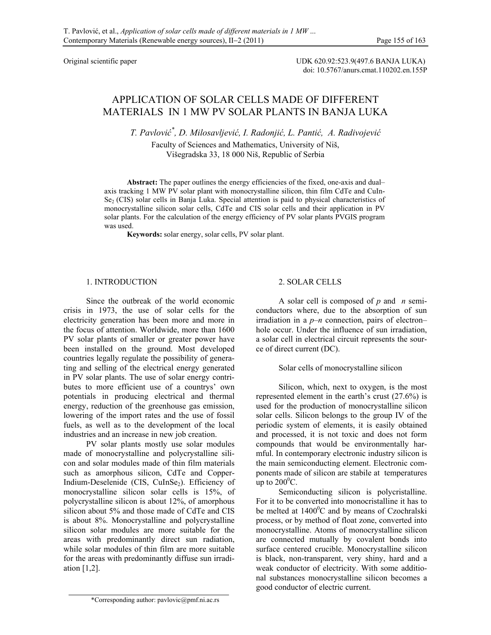Original scientific paper UDK 620.92:523.9(497.6 BANJA LUKA) doi: 10.5767/anurs.cmat.110202.en.155P

# APPLICATION OF SOLAR CELLS MADE OF DIFFERENT MATERIALS IN 1 MW PV SOLAR PLANTS IN BANJA LUKA

*T. Pavlović \* , D. Milosavljević, I. Radonjić, L. Pantić, A. Radivojević*

Faculty of Sciences and Mathematics, University of Niš, Višegradska 33, 18 000 Niš, Republic of Serbia

Abstract: The paper outlines the energy efficiencies of the fixed, one-axis and dual– axis tracking 1 MW PV solar plant with monocrystalline silicon, thin film CdTe and CuIn- $Se<sub>2</sub>$  (CIS) solar cells in Banja Luka. Special attention is paid to physical characteristics of monocrystalline silicon solar cells, CdTe and CIS solar cells and their application in PV solar plants. For the calculation of the energy efficiency of PV solar plants PVGIS program was used.

**Keywords:** solar energy, solar cells, PV solar plant.

# 1. INTRODUCTION

Since the outbreak of the world economic crisis in 1973, the use of solar cells for the electricity generation has been more and more in the focus of attention. Worldwide, more than 1600 PV solar plants of smaller or greater power have been installed on the ground. Most developed countries legally regulate the possibility of generating and selling of the electrical energy generated in PV solar plants. The use of solar energy contributes to more efficient use of a countrys' own potentials in producing electrical and thermal energy, reduction of the greenhouse gas emission, lowering of the import rates and the use of fossil fuels, as well as to the development of the local industries and an increase in new job creation.

PV solar plants mostly use solar modules made of monocrystalline and polycrystalline silicon and solar modules made of thin film materials such as amorphous silicon, CdTe and Copper-Indium-Deselenide (CIS, CuInSe<sub>2</sub>). Efficiency of monocrystalline silicon solar cells is 15%, of polycrystalline silicon is about 12%, of amorphous silicon about 5% and those made of CdTe and CIS is about 8%. Monocrystalline and polycrystalline silicon solar modules are more suitable for the areas with predominantly direct sun radiation, while solar modules of thin film are more suitable for the areas with predominantly diffuse sun irradiation [1,2].

# 2. SOLAR CELLS

A solar cell is composed of *p* and *n* semiconductors where, due to the absorption of sun irradiation in a *p–n* connection, pairs of electron– hole occur. Under the influence of sun irradiation, a solar cell in electrical circuit represents the source of direct current (DC).

### Solar cells of monocrystalline silicon

Silicon, which, next to oxygen, is the most represented element in the earth's crust (27.6%) is used for the production of monocrystalline silicon solar cells. Silicon belongs to the group IV of the periodic system of elements, it is easily obtained and processed, it is not toxic and does not form compounds that would be environmentally harmful. In contemporary electronic industry silicon is the main semiconducting element. Electronic components made of silicon are stabile at temperatures up to  $200^{\circ}$ C.

Semiconducting silicon is polycristalline. For it to be converted into monocristalline it has to be melted at  $1400^{\circ}$ C and by means of Czochralski process, or by method of float zone, converted into monocrystalline. Atoms of monocrystalline silicon are connected mutually by covalent bonds into surface centered crucible. Monocrystalline silicon is black, non-transparent, very shiny, hard and a weak conductor of electricity. With some additional substances monocrystalline silicon becomes a good conductor of electric current.

<sup>\*</sup>Corresponding author: pavlovic@pmf.ni.ac.rs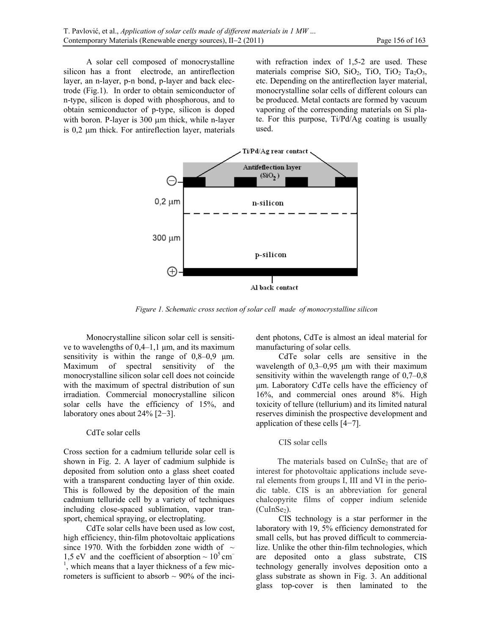A solar cell composed of monocrystalline silicon has a front electrode, an antireflection layer, an n-layer, p-n bond, p-layer and back electrode (Fig.1). In order to obtain semiconductor of n-type, silicon is doped with phosphorous, and to obtain semiconductor of p-type, silicon is doped with boron. P-layer is  $300 \mu m$  thick, while n-layer is 0,2 m thick. For antireflection layer, materials with refraction index of 1,5-2 are used. These materials comprise SiO, SiO<sub>2</sub>, TiO, TiO<sub>2</sub>, T<sub>a<sub>2</sub>O<sub>3</sub>,</sub> etc. Depending on the antireflection layer material, monocrystalline solar cells of different colours can be produced. Metal contacts are formed by vacuum vaporing of the corresponding materials on Si plate. For this purpose, Ti/Pd/Ag coating is usually used.



*Figure 1. Schematic cross section of solar cell made of monocrystalline silicon* 

Monocrystalline silicon solar cell is sensitive to wavelengths of  $0,4-1,1 \mu m$ , and its maximum sensitivity is within the range of  $0,8-0,9$  µm. Maximum of spectral sensitivity of the monocrystalline silicon solar cell does not coincide with the maximum of spectral distribution of sun irradiation. Commercial monocrystalline silicon solar cells have the efficiency of 15%, and laboratory ones about 24% [2−3].

# CdTe solar cells

Cross section for a cadmium telluride solar cell is shown in Fig. 2. A layer of cadmium sulphide is deposited from solution onto a glass sheet coated with a transparent conducting layer of thin oxide. This is followed by the deposition of the main cadmium telluride cell by a variety of techniques including close-spaced sublimation, vapor transport, chemical spraying, or electroplating.

CdTe solar cells have been used as low cost, high efficiency, thin-film photovoltaic applications since 1970. With the forbidden zone width of  $\sim$ 1,5 eV and the coefficient of absorption  $\sim 10^5$  cm<sup>-1</sup> 1 , which means that a layer thickness of a few micrometers is sufficient to absorb  $\sim$  90% of the incident photons, CdTe is almost an ideal material for manufacturing of solar cells.

CdTe solar cells are sensitive in the wavelength of 0,3–0,95 μm with their maximum sensitivity within the wavelength range of 0,7–0,8 μm. Laboratory CdTe cells have the efficiency of 16%, and commercial ones around 8%. High toxicity of tellure (tellurium) and its limited natural reserves diminish the prospective development and application of these cells [4−7].

#### CIS solar cells

The materials based on CuInSe<sub>2</sub> that are of interest for photovoltaic applications include several elements from groups I, III and VI in the periodic table. CIS is an abbreviation for general chalcopyrite films of copper indium selenide  $(CulnSe<sub>2</sub>)$ .

CIS technology is a star performer in the laboratory with 19, 5% efficiency demonstrated for small cells, but has proved difficult to commercialize. Unlike the other thin-film technologies, which are deposited onto a glass substrate, CIS technology generally involves deposition onto a glass substrate as shown in Fig. 3. An additional glass top-cover is then laminated to the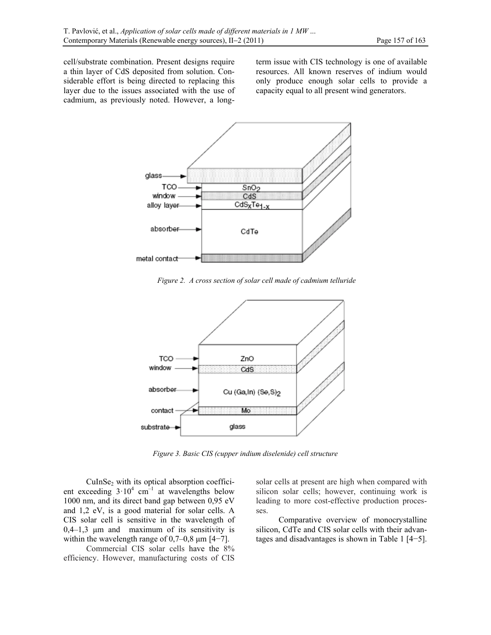cell/substrate combination. Present designs require a thin layer of CdS deposited from solution. Considerable effort is being directed to replacing this layer due to the issues associated with the use of cadmium, as previously noted. However, a longterm issue with CIS technology is one of available resources. All known reserves of indium would only produce enough solar cells to provide a capacity equal to all present wind generators.



*Figure 2. A cross section of solar cell made of cadmium telluride* 



*Figure 3. Basic CIS (cupper indium diselenide) cell structure* 

CuInSe2 with its optical absorption coefficient exceeding  $3 \cdot 10^4$  cm<sup>-1</sup> at wavelengths below 1000 nm, and its direct band gap between 0,95 eV and 1,2 eV, is a good material for solar cells. A CIS solar cell is sensitive in the wavelength of 0,4–1,3 μm and maximum of its sensitivity is within the wavelength range of  $0,7-0,8$  µm  $[4-7]$ .

Commercial CIS solar cells have the 8% efficiency. However, manufacturing costs of CIS

solar cells at present are high when compared with silicon solar cells; however, continuing work is leading to more cost-effective production processes.

Comparative overview of monocrystalline silicon, CdTe and CIS solar cells with their advantages and disadvantages is shown in Table 1 [4−5].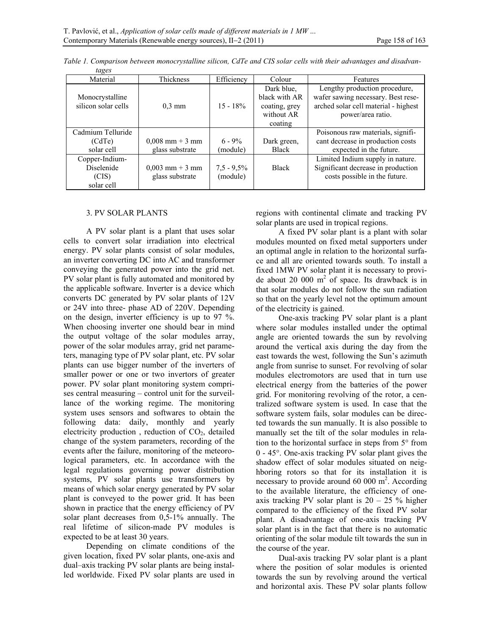| Material                               | Thickness         | Efficiency    | Colour                                                                | Features                                                                                                                         |
|----------------------------------------|-------------------|---------------|-----------------------------------------------------------------------|----------------------------------------------------------------------------------------------------------------------------------|
| Monocrystalline<br>silicon solar cells | $0.3 \text{ mm}$  | $15 - 18\%$   | Dark blue.<br>black with AR<br>coating, grey<br>without AR<br>coating | Lengthy production procedure,<br>wafer sawing necessary. Best rese-<br>arched solar cell material - highest<br>power/area ratio. |
| Cadmium Telluride                      |                   |               |                                                                       | Poisonous raw materials, signifi-                                                                                                |
| (CdTe)                                 | $0,008$ mm + 3 mm | $6 - 9\%$     | Dark green,                                                           | cant decrease in production costs                                                                                                |
| solar cell                             | glass substrate   | (module)      | <b>Black</b>                                                          | expected in the future.                                                                                                          |
| Copper-Indium-                         |                   |               |                                                                       | Limited Indium supply in nature.                                                                                                 |
| <b>Diselenide</b>                      | $0,003$ mm + 3 mm | $7.5 - 9.5\%$ | <b>Black</b>                                                          | Significant decrease in production                                                                                               |
| (CIS)                                  | glass substrate   | (module)      |                                                                       | costs possible in the future.                                                                                                    |
| solar cell                             |                   |               |                                                                       |                                                                                                                                  |

*Table 1. Comparison between monocrystalline silicon, CdTe and CIS solar cells with their advantages and disadvan-*

# 3. PV SOLAR PLANTS

*tages* 

A PV solar plant is a plant that uses solar cells to convert solar irradiation into electrical energy. PV solar plants consist of solar modules, an inverter converting DC into AC and transformer conveying the generated power into the grid net. PV solar plant is fully automated and monitored by the applicable software. Inverter is a device which converts DC generated by PV solar plants of 12V or 24V into three- phase AD of 220V. Depending on the design, inverter efficiency is up to 97 %. When choosing inverter one should bear in mind the output voltage of the solar modules array, power of the solar modules array, grid net parameters, managing type of PV solar plant, etc. PV solar plants can use bigger number of the inverters of smaller power or one or two invertors of greater power. PV solar plant monitoring system comprises central measuring – control unit for the surveillance of the working regime. The monitoring system uses sensors and softwares to obtain the following data: daily, monthly and yearly electricity production, reduction of  $CO<sub>2</sub>$ , detailed change of the system parameters, recording of the events after the failure, monitoring of the meteorological parameters, etc. In accordance with the legal regulations governing power distribution systems, PV solar plants use transformers by means of which solar energy generated by PV solar plant is conveyed to the power grid. It has been shown in practice that the energy efficiency of PV solar plant decreases from 0,5-1% annually. The real lifetime of silicon-made PV modules is expected to be at least 30 years.

Depending on climate conditions of the given location, fixed PV solar plants, one-axis and dual–axis tracking PV solar plants are being installed worldwide. Fixed PV solar plants are used in regions with continental climate and tracking PV solar plants are used in tropical regions.

A fixed PV solar plant is a plant with solar modules mounted on fixed metal supporters under an optimal angle in relation to the horizontal surface and all are oriented towards south. To install a fixed 1MW PV solar plant it is necessary to provide about 20 000  $m^2$  of space. Its drawback is in that solar modules do not follow the sun radiation so that on the yearly level not the optimum amount of the electricity is gained.

One-axis tracking PV solar plant is a plant where solar modules installed under the optimal angle are oriented towards the sun by revolving around the vertical axis during the day from the east towards the west, following the Sun's azimuth angle from sunrise to sunset. For revolving of solar modules electromotors are used that in turn use electrical energy from the batteries of the power grid. For monitoring revolving of the rotor, a centralized software system is used. In case that the software system fails, solar modules can be directed towards the sun manually. It is also possible to manually set the tilt of the solar modules in relation to the horizontal surface in steps from  $5^{\circ}$  from  $0 - 45^{\circ}$ . One-axis tracking PV solar plant gives the shadow effect of solar modules situated on neighboring rotors so that for its installation it is necessary to provide around  $60\,000\,\mathrm{m}^2$ . According to the available literature, the efficiency of oneaxis tracking PV solar plant is  $20 - 25$  % higher compared to the efficiency of the fixed PV solar plant. A disadvantage of one-axis tracking PV solar plant is in the fact that there is no automatic orienting of the solar module tilt towards the sun in the course of the year.

Dual-axis tracking PV solar plant is a plant where the position of solar modules is oriented towards the sun by revolving around the vertical and horizontal axis. These PV solar plants follow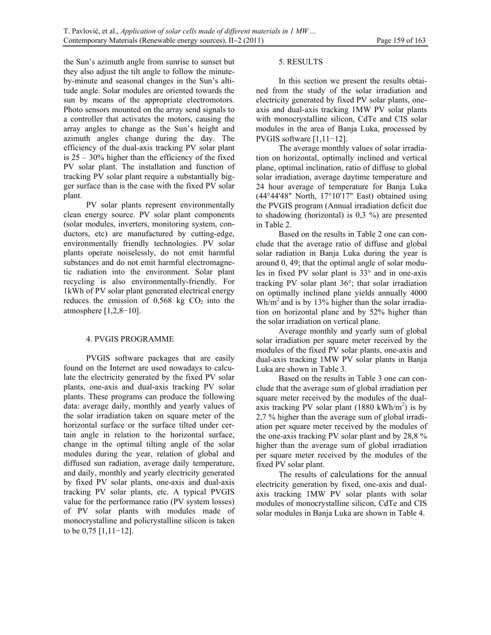the Sun's azimuth angle from sunrise to sunset but they also adjust the tilt angle to follow the minuteby-minute and seasonal changes in the Sun's altitude angle. Solar modules are oriented towards the sun by means of the appropriate electromotors. Photo sensors mounted on the array send signals to a controller that activates the motors, causing the array angles to change as the Sun's height and azimuth angles change during the day. The efficiency of the dual-axis tracking PV solar plant is 25 – 30% higher than the efficiency of the fixed PV solar plant. The installation and function of tracking PV solar plant require a substantially bigger surface than is the case with the fixed PV solar plant.

PV solar plants represent environmentally clean energy source. PV solar plant components (solar modules, inverters, monitoring system, conductors, etc) are manufactured by cutting-edge, environmentally friendly technologies. PV solar plants operate noiselessly, do not emit harmful substances and do not emit harmful electromagnetic radiation into the environment. Solar plant recycling is also environmentally-friendly. For 1kWh of PV solar plant generated electrical energy reduces the emission of  $0,568$  kg  $CO<sub>2</sub>$  into the atmosphere  $[1,2,8-10]$ .

# 4. PVGIS PROGRAMME

PVGIS software packages that are easily found on the Internet are used nowadays to calculate the electricity generated by the fixed PV solar plants, one-axis and dual-axis tracking PV solar plants. These programs can produce the following data: average daily, monthly and yearly values of the solar irradiation taken on square meter of the horizontal surface or the surface tilted under certain angle in relation to the horizontal surface, change in the optimal tilting angle of the solar modules during the year, relation of global and diffused sun radiation, average daily temperature, and daily, monthly and yearly electricity generated by fixed PV solar plants, one-axis and dual-axis tracking PV solar plants, etc. A typical PVGIS value for the performance ratio (PV system losses) of PV solar plants with modules made of monocrystalline and policrystalline silicon is taken to be 0,75 [1,11−12].

# 5. RESULTS

In this section we present the results obtained from the study of the solar irradiation and electricity generated by fixed PV solar plants, oneaxis and dual-axis tracking 1MW PV solar plants with monocrystalline silicon, CdTe and CIS solar modules in the area of Banja Luka, processed by PVGIS software [1,11-12].

The average monthly values of solar irradiation on horizontal, optimally inclined and vertical plane, optimal inclination, ratio of diffuse to global solar irradiation, average daytime temperature and 24 hour average of temperature for Banja Luka (44°44'48" North, 17°10'17" East) obtained using the PVGIS program (Annual irradiation deficit due to shadowing (horizontal) is 0,3 %) are presented in Table 2.

Based on the results in Table 2 one can conclude that the average ratio of diffuse and global solar radiation in Banja Luka during the year is around 0, 49; that the optimal angle of solar modules in fixed PV solar plant is  $33^\circ$  and in one-axis tracking PV solar plant  $36^\circ$ ; that solar irradiation on optimally inclined plane yields annually 4000  $Wh/m<sup>2</sup>$  and is by 13% higher than the solar irradiation on horizontal plane and by 52% higher than the solar irradiation on vertical plane.

Average monthly and yearly sum of global solar irradiation per square meter received by the modules of the fixed PV solar plants, one-axis and dual-axis tracking 1MW PV solar plants in Banja Luka are shown in Table 3.

Based on the results in Table 3 one can conclude that the average sum of global irradiation per square meter received by the modules of the dualaxis tracking PV solar plant  $(1880 \text{ kWh/m}^2)$  is by 2,7 % higher than the average sum of global irradiation per square meter received by the modules of the one-axis tracking PV solar plant and by 28,8 % higher than the average sum of global irradiation per square meter received by the modules of the fixed PV solar plant.

The results of calculations for the annual electricity generation by fixed, one-axis and dualaxis tracking 1MW PV solar plants with solar modules of monocrystalline silicon, CdTe and CIS solar modules in Banja Luka are shown in Table 4.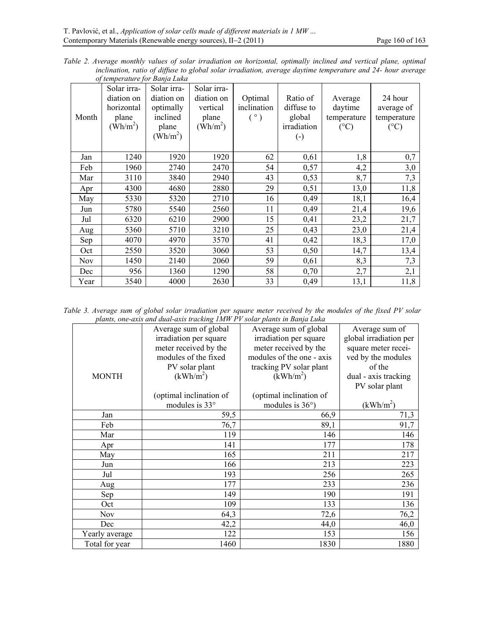*Table 2. Average monthly values of solar irradiation on horizontal, optimally inclined and vertical plane, optimal inclination, ratio of diffuse to global solar irradiation, average daytime temperature and 24- hour average of temperature for Banja Luka* 

| Month | Solar irra-<br>diation on<br>horizontal<br>plane<br>$(\text{Wh/m}^2)$ | Solar irra-<br>diation on<br>optimally<br>inclined<br>plane<br>$(\text{Wh/m}^2)$ | Solar irra-<br>diation on<br>vertical<br>plane<br>$(Wh/m^2)$ | Optimal<br>inclination<br>(°) | Ratio of<br>diffuse to<br>global<br>irradiation<br>$\left( \cdot \right)$ | Average<br>daytime<br>temperature<br>$({}^{\circ}C)$ | 24 hour<br>average of<br>temperature<br>$(^{\circ}C)$ |
|-------|-----------------------------------------------------------------------|----------------------------------------------------------------------------------|--------------------------------------------------------------|-------------------------------|---------------------------------------------------------------------------|------------------------------------------------------|-------------------------------------------------------|
| Jan   | 1240                                                                  | 1920                                                                             | 1920                                                         | 62                            | 0,61                                                                      | 1,8                                                  | 0,7                                                   |
| Feb   | 1960                                                                  | 2740                                                                             | 2470                                                         | 54                            | 0,57                                                                      | 4,2                                                  | 3,0                                                   |
| Mar   | 3110                                                                  | 3840                                                                             | 2940                                                         | 43                            | 0,53                                                                      | 8,7                                                  | 7,3                                                   |
| Apr   | 4300                                                                  | 4680                                                                             | 2880                                                         | 29                            | 0,51                                                                      | 13,0                                                 | 11,8                                                  |
| May   | 5330                                                                  | 5320                                                                             | 2710                                                         | 16                            | 0,49                                                                      | 18,1                                                 | 16,4                                                  |
| Jun   | 5780                                                                  | 5540                                                                             | 2560                                                         | 11                            | 0,49                                                                      | 21,4                                                 | 19,6                                                  |
| Jul   | 6320                                                                  | 6210                                                                             | 2900                                                         | 15                            | 0,41                                                                      | 23,2                                                 | 21,7                                                  |
| Aug   | 5360                                                                  | 5710                                                                             | 3210                                                         | 25                            | 0,43                                                                      | 23,0                                                 | 21,4                                                  |
| Sep   | 4070                                                                  | 4970                                                                             | 3570                                                         | 41                            | 0,42                                                                      | 18,3                                                 | 17,0                                                  |
| Oct   | 2550                                                                  | 3520                                                                             | 3060                                                         | 53                            | 0,50                                                                      | 14,7                                                 | 13,4                                                  |
| Nov   | 1450                                                                  | 2140                                                                             | 2060                                                         | 59                            | 0,61                                                                      | 8,3                                                  | 7,3                                                   |
| Dec   | 956                                                                   | 1360                                                                             | 1290                                                         | 58                            | 0,70                                                                      | 2,7                                                  | 2,1                                                   |
| Year  | 3540                                                                  | 4000                                                                             | 2630                                                         | 33                            | 0,49                                                                      | 13,1                                                 | 11,8                                                  |

*Table 3. Average sum of global solar irradiation per square meter received by the modules of the fixed PV solar plants, one-axis and dual-axis tracking 1MW PV solar plants in Banja Luka* 

|                | punus, one axis ana anar axis n'aemne, 11n n-1 r-sorar punus in Danja Euma |                           |                        |  |  |
|----------------|----------------------------------------------------------------------------|---------------------------|------------------------|--|--|
|                | Average sum of global                                                      | Average sum of global     | Average sum of         |  |  |
|                | irradiation per square                                                     | irradiation per square    | global irradiation per |  |  |
|                | meter received by the                                                      | meter received by the     | square meter recei-    |  |  |
|                | modules of the fixed                                                       | modules of the one - axis | ved by the modules     |  |  |
|                | PV solar plant                                                             | tracking PV solar plant   | of the                 |  |  |
| <b>MONTH</b>   | (kWh/m <sup>2</sup> )                                                      | (kWh/m <sup>2</sup> )     | dual - axis tracking   |  |  |
|                |                                                                            |                           | PV solar plant         |  |  |
|                | (optimal inclination of                                                    | (optimal inclination of   |                        |  |  |
|                | modules is 33°                                                             | modules is $36^{\circ}$ ) | (kWh/m <sup>2</sup> )  |  |  |
| Jan            | 59,5                                                                       | 66,9                      | 71,3                   |  |  |
| Feb            | 76,7                                                                       | 89,1                      | 91,7                   |  |  |
| Mar            | 119                                                                        | 146                       | 146                    |  |  |
| Apr            | 141                                                                        | 177                       | 178                    |  |  |
| May            | 165                                                                        | 211                       | 217                    |  |  |
| Jun            | 166                                                                        | 213                       | 223                    |  |  |
| Jul            | 193                                                                        | 256                       | 265                    |  |  |
| Aug            | 177                                                                        | 233                       | 236                    |  |  |
| Sep            | 149                                                                        | 190                       | 191                    |  |  |
| Oct            | 109                                                                        | 133                       | 136                    |  |  |
| <b>Nov</b>     | 64,3                                                                       | 72,6                      | 76,2                   |  |  |
| Dec            | 42,2                                                                       | 44,0                      | 46,0                   |  |  |
| Yearly average | 122                                                                        | 153                       | 156                    |  |  |
| Total for year | 1460                                                                       | 1830                      | 1880                   |  |  |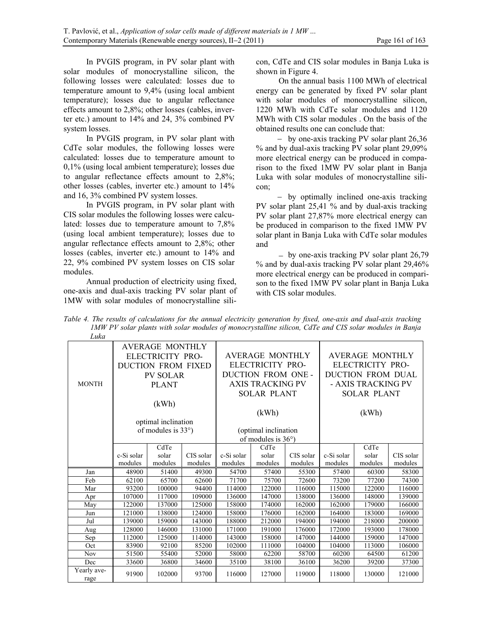In PVGIS program, in PV solar plant with solar modules of monocrystalline silicon, the following losses were calculated: losses due to temperature amount to 9,4% (using local ambient temperature); losses due to angular reflectance effects amount to 2,8%; other losses (cables, inverter etc.) amount to 14% and 24, 3% combined PV system losses.

In PVGIS program, in PV solar plant with CdTe solar modules, the following losses were calculated: losses due to temperature amount to 0,1% (using local ambient temperature); losses due to angular reflectance effects amount to 2,8%; other losses (cables, inverter etc.) amount to 14% and 16, 3% combined PV system losses.

In PVGIS program, in PV solar plant with CIS solar modules the following losses were calculated: losses due to temperature amount to 7,8% (using local ambient temperature); losses due to angular reflectance effects amount to 2,8%; other losses (cables, inverter etc.) amount to 14% and 22, 9% combined PV system losses on CIS solar modules.

Annual production of electricity using fixed, one-axis and dual-axis tracking PV solar plant of 1MW with solar modules of monocrystalline silicon, CdTe and CIS solar modules in Banja Luka is shown in Figure 4.

On the annual basis 1100 MWh of electrical energy can be generated by fixed PV solar plant with solar modules of monocrystalline silicon, 1220 MWh with CdTe solar modules and 1120 MWh with CIS solar modules . On the basis of the obtained results one can conclude that:

- by one-axis tracking PV solar plant 26,36 % and by dual-axis tracking PV solar plant 29,09% more electrical energy can be produced in comparison to the fixed 1MW PV solar plant in Banja Luka with solar modules of monocrystalline silicon;

- by optimally inclined one-axis tracking PV solar plant 25,41 % and by dual-axis tracking PV solar plant 27,87% more electrical energy can be produced in comparison to the fixed 1MW PV solar plant in Banja Luka with CdTe solar modules and

- by one-axis tracking PV solar plant 26,79 % and by dual-axis tracking PV solar plant 29,46% more electrical energy can be produced in comparison to the fixed 1MW PV solar plant in Banja Luka with CIS solar modules.

| Table 4. The results of calculations for the annual electricity generation by fixed, one-axis and dual-axis tracking |
|----------------------------------------------------------------------------------------------------------------------|
| IMW PV solar plants with solar modules of monocrystalline silicon, CdTe and CIS solar modules in Banja               |
| Luka                                                                                                                 |

| <b>AVERAGE MONTHLY</b> |                                                                  |         |           |                         |                                                      |           | AVERAGE MONTHLY    |         |           |  |
|------------------------|------------------------------------------------------------------|---------|-----------|-------------------------|------------------------------------------------------|-----------|--------------------|---------|-----------|--|
|                        | ELECTRICITY PRO-<br><b>DUCTION FROM FIXED</b><br><b>PV SOLAR</b> |         |           | <b>AVERAGE MONTHLY</b>  |                                                      |           |                    |         |           |  |
|                        |                                                                  |         |           | ELECTRICITY PRO-        |                                                      |           | ELECTRICITY PRO-   |         |           |  |
|                        |                                                                  |         |           | DUCTION FROM ONE -      |                                                      |           | DUCTION FROM DUAL  |         |           |  |
| <b>MONTH</b>           | <b>PLANT</b>                                                     |         |           | <b>AXIS TRACKING PV</b> |                                                      |           | - AXIS TRACKING PV |         |           |  |
|                        |                                                                  |         |           | <b>SOLAR PLANT</b>      |                                                      |           | <b>SOLAR PLANT</b> |         |           |  |
|                        | (kWh)                                                            |         |           |                         |                                                      |           |                    |         |           |  |
|                        |                                                                  |         |           | (kWh)                   |                                                      |           | (kWh)              |         |           |  |
|                        |                                                                  |         |           |                         |                                                      |           |                    |         |           |  |
|                        | optimal inclination<br>of modules is $33^{\circ}$ )              |         |           |                         |                                                      |           |                    |         |           |  |
|                        |                                                                  |         |           |                         | (optimal inclination<br>of modules is $36^{\circ}$ ) |           |                    |         |           |  |
|                        | CdTe                                                             |         |           | CdTe                    |                                                      |           | CdTe               |         |           |  |
|                        | c-Si solar                                                       | solar   | CIS solar | c-Si solar              | solar                                                | CIS solar | c-Si solar         | solar   | CIS solar |  |
|                        | modules                                                          | modules | modules   | modules                 | modules                                              | modules   | modules            | modules | modules   |  |
| Jan                    | 48900                                                            | 51400   | 49300     | 54700                   | 57400                                                | 55300     | 57400              | 60300   | 58300     |  |
| Feb                    | 62100                                                            | 65700   | 62600     | 71700                   | 75700                                                | 72600     | 73200              | 77200   | 74300     |  |
| Mar                    | 93200                                                            | 100000  | 94400     | 114000                  | 122000                                               | 116000    | 115000             | 122000  | 116000    |  |
| Apr                    | 107000                                                           | 117000  | 109000    | 136000                  | 147000                                               | 138000    | 136000             | 148000  | 139000    |  |
| May                    | 122000                                                           | 137000  | 125000    | 158000                  | 174000                                               | 162000    | 162000             | 179000  | 166000    |  |
| Jun                    | 121000                                                           | 138000  | 124000    | 158000                  | 176000                                               | 162000    | 164000             | 183000  | 169000    |  |
| Jul                    | 139000                                                           | 159000  | 143000    | 188000                  | 212000                                               | 194000    | 194000             | 218000  | 200000    |  |
| Aug                    | 128000                                                           | 146000  | 131000    | 171000                  | 191000                                               | 176000    | 172000             | 193000  | 178000    |  |
| Sep                    | 112000                                                           | 125000  | 114000    | 143000                  | 158000                                               | 147000    | 144000             | 159000  | 147000    |  |
| Oct                    | 83900                                                            | 92100   | 85200     | 102000                  | 111000                                               | 104000    | 104000             | 113000  | 106000    |  |
| <b>Nov</b>             | 51500                                                            | 55400   | 52000     | 58000                   | 62200                                                | 58700     | 60200              | 64500   | 61200     |  |
| Dec                    | 33600                                                            | 36800   | 34600     | 35100                   | 38100                                                | 36100     | 36200              | 39200   | 37300     |  |
| Yearly ave-<br>rage    | 91900                                                            | 102000  | 93700     | 116000                  | 127000                                               | 119000    | 118000             | 130000  | 121000    |  |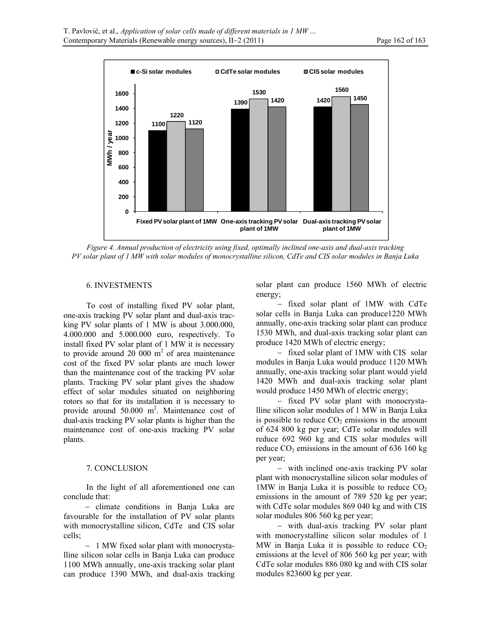

*Figure 4. Annual production of electricity using fixed, optimally inclined one-axis and dual-axis tracking PV solar plant of 1 MW with solar modules of monocrystalline silicon, CdTe and CIS solar modules in Banja Luka* 

# 6. INVESTMENTS

To cost of installing fixed PV solar plant, one-axis tracking PV solar plant and dual-axis tracking PV solar plants of 1 MW is about 3.000.000, 4.000.000 and 5.000.000 euro, respectively. To install fixed PV solar plant of 1 MW it is necessary to provide around 20 000  $m<sup>2</sup>$  of area maintenance cost of the fixed PV solar plants are much lower than the maintenance cost of the tracking PV solar plants. Tracking PV solar plant gives the shadow effect of solar modules situated on neighboring rotors so that for its installation it is necessary to provide around 50.000 m<sup>2</sup>. Maintenance cost of dual-axis tracking PV solar plants is higher than the maintenance cost of one-axis tracking PV solar plants.

# 7. CONCLUSION

In the light of all aforementioned one can conclude that:

- climate conditions in Banja Luka are favourable for the installation of PV solar plants with monocrystalline silicon, CdTe and CIS solar cells;

- 1 MW fixed solar plant with monocrystalline silicon solar cells in Banja Luka can produce 1100 MWh annually, one-axis tracking solar plant can produce 1390 MWh, and dual-axis tracking solar plant can produce 1560 MWh of electric energy;

 fixed solar plant of 1MW with CdTe solar cells in Banja Luka can produce1220 MWh annually, one-axis tracking solar plant can produce 1530 MWh, and dual-axis tracking solar plant can produce 1420 MWh of electric energy;

- fixed solar plant of 1MW with CIS solar modules in Banja Luka would produce 1120 MWh annually, one-axis tracking solar plant would yield 1420 MWh and dual-axis tracking solar plant would produce 1450 MWh of electric energy;

- fixed PV solar plant with monocrystalline silicon solar modules of 1 MW in Banja Luka is possible to reduce  $CO<sub>2</sub>$  emissions in the amount of 624 800 kg per year; CdTe solar modules will reduce 692 960 kg and CIS solar modules will reduce  $CO<sub>2</sub>$  emissions in the amount of 636 160 kg per year;

- with inclined one-axis tracking PV solar plant with monocrystalline silicon solar modules of 1MW in Banja Luka it is possible to reduce  $CO<sub>2</sub>$ emissions in the amount of 789 520 kg per year; with CdTe solar modules 869 040 kg and with CIS solar modules 806 560 kg per year;

- with dual-axis tracking PV solar plant with monocrystalline silicon solar modules of 1 MW in Banja Luka it is possible to reduce  $CO<sub>2</sub>$ emissions at the level of 806 560 kg per year; with CdTe solar modules 886 080 kg and with CIS solar modules 823600 kg per year.